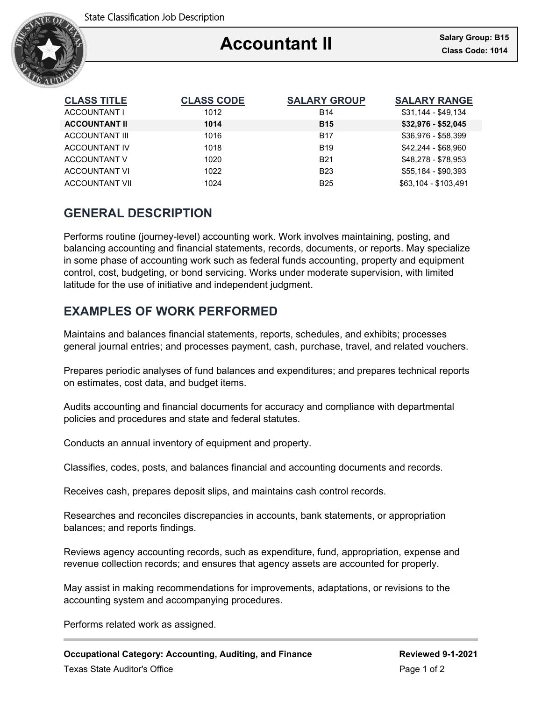

| <b>CLASS TITLE</b>    | <b>CLASS CODE</b> | <b>SALARY GROUP</b> | <b>SALARY RANGE</b>  |
|-----------------------|-------------------|---------------------|----------------------|
| ACCOUNTANT I          | 1012              | <b>B14</b>          | \$31,144 - \$49,134  |
| <b>ACCOUNTANT II</b>  | 1014              | <b>B15</b>          | \$32,976 - \$52,045  |
| <b>ACCOUNTANT III</b> | 1016              | <b>B17</b>          | \$36,976 - \$58,399  |
| <b>ACCOUNTANT IV</b>  | 1018              | <b>B19</b>          | \$42.244 - \$68.960  |
| ACCOUNTANT V          | 1020              | <b>B21</b>          | \$48.278 - \$78.953  |
| <b>ACCOUNTANT VI</b>  | 1022              | <b>B23</b>          | \$55,184 - \$90,393  |
| <b>ACCOUNTANT VII</b> | 1024              | <b>B25</b>          | \$63,104 - \$103,491 |

## **GENERAL DESCRIPTION**

Performs routine (journey-level) accounting work. Work involves maintaining, posting, and balancing accounting and financial statements, records, documents, or reports. May specialize in some phase of accounting work such as federal funds accounting, property and equipment control, cost, budgeting, or bond servicing. Works under moderate supervision, with limited latitude for the use of initiative and independent judgment.

## **EXAMPLES OF WORK PERFORMED**

Maintains and balances financial statements, reports, schedules, and exhibits; processes general journal entries; and processes payment, cash, purchase, travel, and related vouchers.

Prepares periodic analyses of fund balances and expenditures; and prepares technical reports on estimates, cost data, and budget items.

Audits accounting and financial documents for accuracy and compliance with departmental policies and procedures and state and federal statutes.

Conducts an annual inventory of equipment and property.

Classifies, codes, posts, and balances financial and accounting documents and records.

Receives cash, prepares deposit slips, and maintains cash control records.

Researches and reconciles discrepancies in accounts, bank statements, or appropriation balances; and reports findings.

Reviews agency accounting records, such as expenditure, fund, appropriation, expense and revenue collection records; and ensures that agency assets are accounted for properly.

May assist in making recommendations for improvements, adaptations, or revisions to the accounting system and accompanying procedures.

Performs related work as assigned.